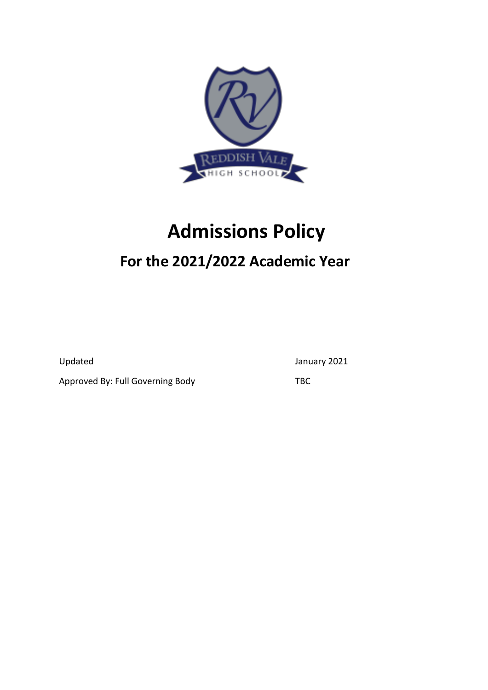

# **Admissions Policy**

## **For the 2021/2022 Academic Year**

Updated January 2021

Approved By: Full Governing Body TBC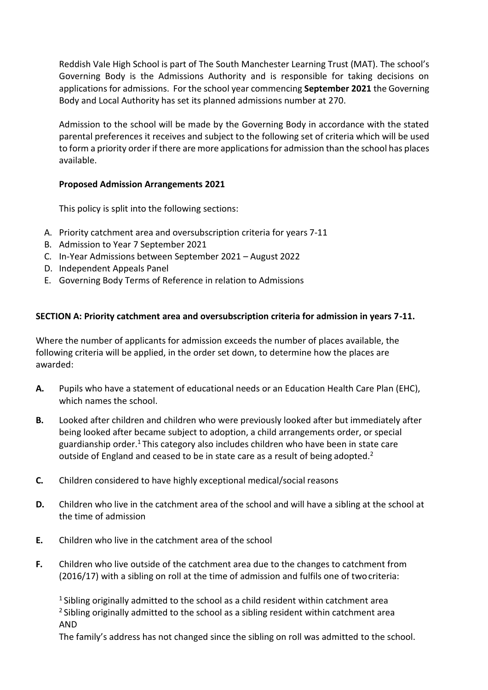Reddish Vale High School is part of The South Manchester Learning Trust (MAT). The school's Governing Body is the Admissions Authority and is responsible for taking decisions on applications for admissions. For the school year commencing **September 2021** the Governing Body and Local Authority has set its planned admissions number at 270.

Admission to the school will be made by the Governing Body in accordance with the stated parental preferences it receives and subject to the following set of criteria which will be used to form a priority order if there are more applications for admission than the school has places available.

### **Proposed Admission Arrangements 2021**

This policy is split into the following sections:

- A. Priority catchment area and oversubscription criteria for years 7-11
- B. Admission to Year 7 September 2021
- C. In-Year Admissions between September 2021 August 2022
- D. Independent Appeals Panel
- E. Governing Body Terms of Reference in relation to Admissions

#### **SECTION A: Priority catchment area and oversubscription criteria for admission in years 7-11.**

Where the number of applicants for admission exceeds the number of places available, the following criteria will be applied, in the order set down, to determine how the places are awarded:

- **A.** Pupils who have a statement of educational needs or an Education Health Care Plan (EHC), which names the school.
- **B.** Looked after children and children who were previously looked after but immediately after being looked after became subject to adoption, a child arrangements order, or special guardianship order.<sup>1</sup> This category also includes children who have been in state care outside of England and ceased to be in state care as a result of being adopted.<sup>2</sup>
- **C.** Children considered to have highly exceptional medical/social reasons
- **D.** Children who live in the catchment area of the school and will have a sibling at the school at the time of admission
- **E.** Children who live in the catchment area of the school
- **F.** Children who live outside of the catchment area due to the changes to catchment from (2016/17) with a sibling on roll at the time of admission and fulfils one of twocriteria:

<sup>1</sup> Sibling originally admitted to the school as a child resident within catchment area <sup>2</sup> Sibling originally admitted to the school as a sibling resident within catchment area AND

The family's address has not changed since the sibling on roll was admitted to the school.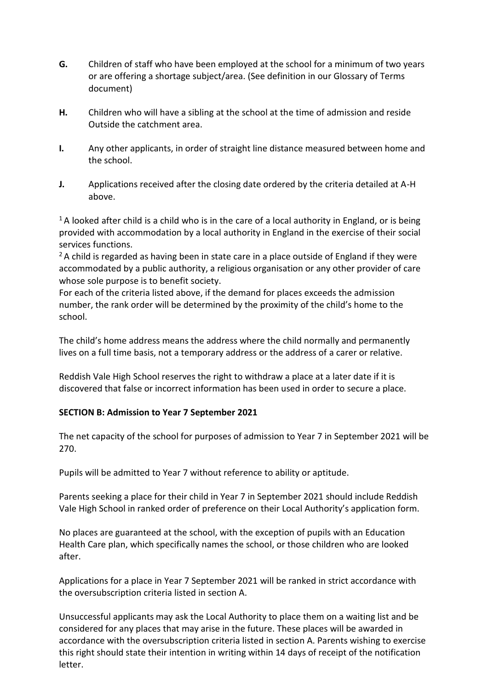- **G.** Children of staff who have been employed at the school for a minimum of two years or are offering a shortage subject/area. (See definition in our Glossary of Terms document)
- **H.** Children who will have a sibling at the school at the time of admission and reside Outside the catchment area.
- **I.** Any other applicants, in order of straight line distance measured between home and the school.
- **J.** Applications received after the closing date ordered by the criteria detailed at A-H above.

 $1A$  looked after child is a child who is in the care of a local authority in England, or is being provided with accommodation by a local authority in England in the exercise of their social services functions.

<sup>2</sup> A child is regarded as having been in state care in a place outside of England if they were accommodated by a public authority, a religious organisation or any other provider of care whose sole purpose is to benefit society.

For each of the criteria listed above, if the demand for places exceeds the admission number, the rank order will be determined by the proximity of the child's home to the school.

The child's home address means the address where the child normally and permanently lives on a full time basis, not a temporary address or the address of a carer or relative.

Reddish Vale High School reserves the right to withdraw a place at a later date if it is discovered that false or incorrect information has been used in order to secure a place.

### **SECTION B: Admission to Year 7 September 2021**

The net capacity of the school for purposes of admission to Year 7 in September 2021 will be 270.

Pupils will be admitted to Year 7 without reference to ability or aptitude.

Parents seeking a place for their child in Year 7 in September 2021 should include Reddish Vale High School in ranked order of preference on their Local Authority's application form.

No places are guaranteed at the school, with the exception of pupils with an Education Health Care plan, which specifically names the school, or those children who are looked after.

Applications for a place in Year 7 September 2021 will be ranked in strict accordance with the oversubscription criteria listed in section A.

Unsuccessful applicants may ask the Local Authority to place them on a waiting list and be considered for any places that may arise in the future. These places will be awarded in accordance with the oversubscription criteria listed in section A. Parents wishing to exercise this right should state their intention in writing within 14 days of receipt of the notification letter.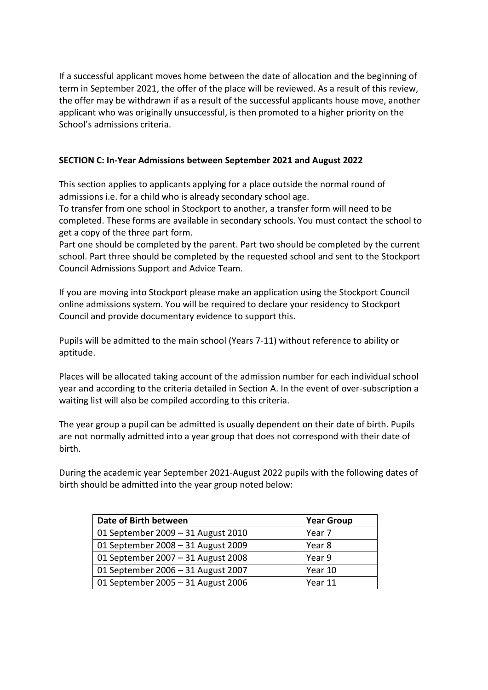If a successful applicant moves home between the date of allocation and the beginning of term in September 2021, the offer of the place will be reviewed. As a result of this review, the offer may be withdrawn if as a result of the successful applicants house move, another applicant who was originally unsuccessful, is then promoted to a higher priority on the School's admissions criteria.

### **SECTION C: In-Year Admissions between September 2021 and August 2022**

This section applies to applicants applying for a place outside the normal round of admissions i.e. for a child who is already secondary school age.

To transfer from one school in Stockport to another, a transfer form will need to be completed. These forms are available in secondary schools. You must contact the school to get a copy of the three part form.

Part one should be completed by the parent. Part two should be completed by the current school. Part three should be completed by the requested school and sent to the Stockport Council Admissions Support and Advice Team.

If you are moving into Stockport please make an application using the Stockport Council online admissions system. You will be required to declare your residency to Stockport Council and provide documentary evidence to support this.

Pupils will be admitted to the main school (Years 7-11) without reference to ability or aptitude.

Places will be allocated taking account of the admission number for each individual school year and according to the criteria detailed in Section A. In the event of over-subscription a waiting list will also be compiled according to this criteria.

The year group a pupil can be admitted is usually dependent on their date of birth. Pupils are not normally admitted into a year group that does not correspond with their date of birth.

During the academic year September 2021-August 2022 pupils with the following dates of birth should be admitted into the year group noted below:

| Date of Birth between              | <b>Year Group</b> |
|------------------------------------|-------------------|
| 01 September 2009 - 31 August 2010 | Year 7            |
| 01 September 2008 - 31 August 2009 | Year 8            |
| 01 September 2007 - 31 August 2008 | Year 9            |
| 01 September 2006 - 31 August 2007 | Year 10           |
| 01 September 2005 – 31 August 2006 | Year 11           |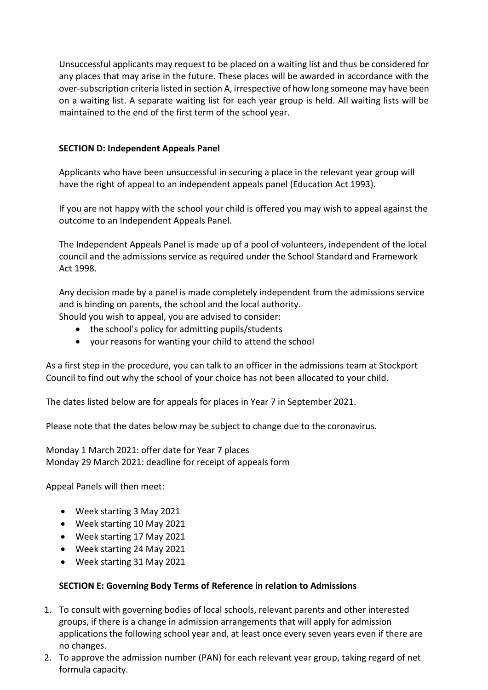Unsuccessful applicants may request to be placed on a waiting list and thus be considered for any places that may arise in the future. These places will be awarded in accordance with the over-subscription criteria listed in section A, irrespective of how long someone may have been on a waiting list. A separate waiting list for each year group is held. All waiting lists will be maintained to the end of the first term of the school year.

### **SECTION D: Independent Appeals Panel**

Applicants who have been unsuccessful in securing a place in the relevant year group will have the right of appeal to an independent appeals panel (Education Act 1993).

If you are not happy with the school your child is offered you may wish to appeal against the outcome to an Independent Appeals Panel.

The Independent Appeals Panel is made up of a pool of volunteers, independent of the local council and the admissions service as required under the School Standard and Framework Act 1998.

Any decision made by a panel is made completely independent from the admissions service and is binding on parents, the school and the local authority. Should you wish to appeal, you are advised to consider:

- the school's policy for admitting pupils/students
- your reasons for wanting your child to attend the school

As a first step in the procedure, you can talk to an officer in the admissions team at Stockport Council to find out why the school of your choice has not been allocated to your child.

The dates listed below are for appeals for places in Year 7 in September 2021.

Please note that the dates below may be subject to change due to the coronavirus.

Monday 1 March 2021: offer date for Year 7 places Monday 29 March 2021: deadline for receipt of appeals form

Appeal Panels will then meet:

- Week starting 3 May 2021
- Week starting 10 May 2021
- Week starting 17 May 2021
- Week starting 24 May 2021
- Week starting 31 May 2021

#### **SECTION E: Governing Body Terms of Reference in relation to Admissions**

- 1. To consult with governing bodies of local schools, relevant parents and other interested groups, if there is a change in admission arrangements that will apply for admission applications the following school year and, at least once every seven years even if there are no changes.
- 2. To approve the admission number (PAN) for each relevant year group, taking regard of net formula capacity.